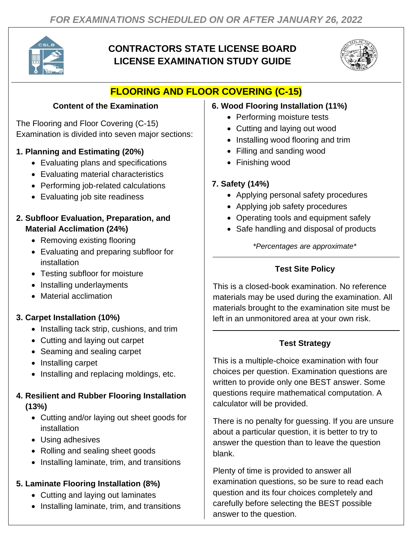

# **CONTRACTORS STATE LICENSE BOARD LICENSE EXAMINATION STUDY GUIDE**



# **FLOORING AND FLOOR COVERING (C-15)**

### **Content of the Examination**

The Flooring and Floor Covering (C-15) Examination is divided into seven major sections:

## **1. Planning and Estimating (20%)**

- Evaluating plans and specifications
- Evaluating material characteristics
- Performing job-related calculations
- Evaluating job site readiness

#### **2. Subfloor Evaluation, Preparation, and Material Acclimation (24%)**

- Removing existing flooring
- Evaluating and preparing subfloor for installation
- Testing subfloor for moisture
- Installing underlayments
- Material acclimation

## **3. Carpet Installation (10%)**

- Installing tack strip, cushions, and trim
- Cutting and laying out carpet
- Seaming and sealing carpet
- Installing carpet
- Installing and replacing moldings, etc.

### **4. Resilient and Rubber Flooring Installation (13%)**

- Cutting and/or laying out sheet goods for installation
- Using adhesives
- Rolling and sealing sheet goods
- Installing laminate, trim, and transitions

### **5. Laminate Flooring Installation (8%)**

- Cutting and laying out laminates
- Installing laminate, trim, and transitions

#### **6. Wood Flooring Installation (11%)**

- Performing moisture tests
- Cutting and laying out wood
- Installing wood flooring and trim
- Filling and sanding wood
- Finishing wood

## **7. Safety (14%)**

- Applying personal safety procedures
- Applying job safety procedures
- Operating tools and equipment safely
- Safe handling and disposal of products

*\*Percentages are approximate\**

### **Test Site Policy**

This is a closed-book examination. No reference materials may be used during the examination. All materials brought to the examination site must be left in an unmonitored area at your own risk.

## **Test Strategy**

This is a multiple-choice examination with four choices per question. Examination questions are written to provide only one BEST answer. Some questions require mathematical computation. A calculator will be provided.

There is no penalty for guessing. If you are unsure about a particular question, it is better to try to answer the question than to leave the question blank.

Plenty of time is provided to answer all examination questions, so be sure to read each question and its four choices completely and carefully before selecting the BEST possible answer to the question.